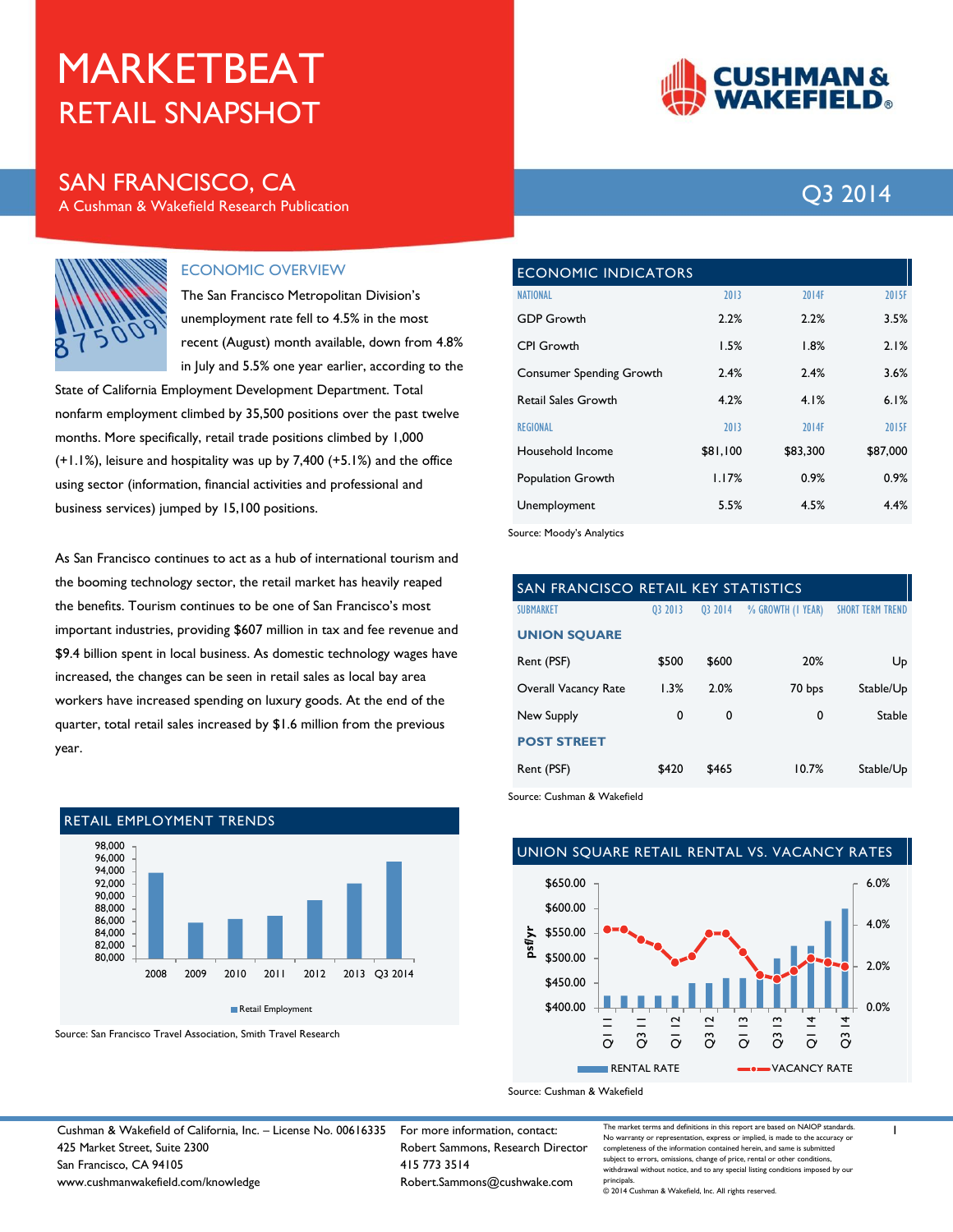# RETAIL SNAPSHOT MARKETBEAT

## SAN FRANCISCO, CA 2014

A Cushman & Wakefield Research Publication



#### ECONOMIC OVERVIEW

The San Francisco Metropolitan Division's unemployment rate fell to 4.5% in the most recent (August) month available, down from 4.8% in July and 5.5% one year earlier, according to the

State of California Employment Development Department. Total nonfarm employment climbed by 35,500 positions over the past twelve months. More specifically, retail trade positions climbed by 1,000 (+1.1%), leisure and hospitality was up by 7,400 (+5.1%) and the office using sector (information, financial activities and professional and business services) jumped by 15,100 positions.

As San Francisco continues to act as a hub of international tourism and the booming technology sector, the retail market has heavily reaped the benefits. Tourism continues to be one of San Francisco's most important industries, providing \$607 million in tax and fee revenue and \$9.4 billion spent in local business. As domestic technology wages have increased, the changes can be seen in retail sales as local bay area workers have increased spending on luxury goods. At the end of the quarter, total retail sales increased by \$1.6 million from the previous year.



Source: San Francisco Travel Association, Smith Travel Research



| <b>ECONOMIC INDICATORS</b>      |          |          |          |  |  |  |
|---------------------------------|----------|----------|----------|--|--|--|
| <b>NATIONAL</b>                 | 2013     | 2014F    | 2015F    |  |  |  |
| <b>GDP Growth</b>               | 2.2%     | 2.2%     | 3.5%     |  |  |  |
| <b>CPI Growth</b>               | 1.5%     | 1.8%     | 2.1%     |  |  |  |
| <b>Consumer Spending Growth</b> | 2.4%     | 2.4%     | 3.6%     |  |  |  |
| <b>Retail Sales Growth</b>      | 4.2%     | 4.1%     | 6.1%     |  |  |  |
| <b>REGIONAL</b>                 | 2013     | 2014F    | 2015F    |  |  |  |
| Household Income                | \$81,100 | \$83,300 | \$87,000 |  |  |  |
| Population Growth               | 1.17%    | 0.9%     | 0.9%     |  |  |  |
| Unemployment                    | 5.5%     | 4.5%     | 4.4%     |  |  |  |

Source: Moody's Analytics

| SAN FRANCISCO RETAIL KEY STATISTICS |         |         |                   |                         |  |  |
|-------------------------------------|---------|---------|-------------------|-------------------------|--|--|
| <b>SUBMARKET</b>                    | 03 2013 | 03 2014 | % GROWTH (I YEAR) | <b>SHORT TERM TREND</b> |  |  |
| <b>UNION SQUARE</b>                 |         |         |                   |                         |  |  |
| Rent (PSF)                          | \$500   | \$600   | 20%               | Up                      |  |  |
| Overall Vacancy Rate                | 1.3%    | 2.0%    | 70 bps            | Stable/Up               |  |  |
| New Supply                          | 0       | 0       | 0                 | Stable                  |  |  |
| <b>POST STREET</b>                  |         |         |                   |                         |  |  |
| Rent (PSF)                          | \$420   | \$465   | 10.7%             | Stable/Up               |  |  |

Source: Cushman & Wakefield

### UNION SQUARE RETAIL RENTAL VS. VACANCY RATES



Source: Cushman & Wakefield

Cushman & Wakefield of California, Inc. – License No. 00616335 For more information, contact: 425 Market Street, Suite 2300 San Francisco, CA 94105 www.cushmanwakefield.com/knowledge

Robert Sammons, Research Director 415 773 3514 Robert.Sammons@cushwake.com

The market terms and definitions in this report are based on NAIOP standards. No warranty or representation, express or implied, is made to the accuracy or completeness of the information contained herein, and same is submitted subject to errors, omissions, change of price, rental or other conditions withdrawal without notice, and to any special listing conditions imposed by our principals.

1

© 2014 Cushman & Wakefield, Inc. All rights reserved.